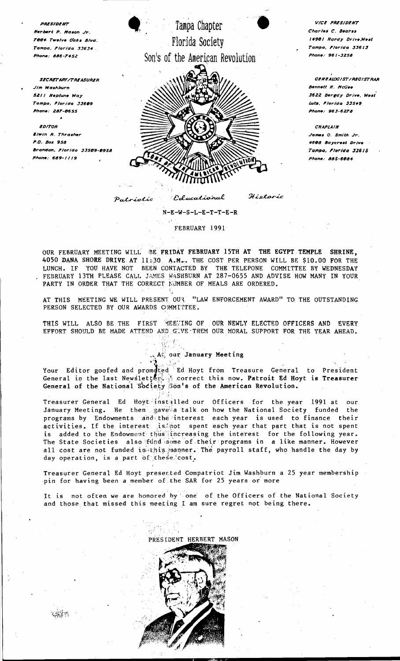

VICE PRESIDENT Charles C. Bearss 14901 Hardy Drive, West Tampa, Florida 33613 Phone: 961-3258

GENEALOGIST/REGISTRAR **Bennett H. McGee** 3622 Bergdy Drive, West Luts, Florida 33549 Phone: 963-6278

**CHAPIAIN** James O. Smith Jr. 4608 Baycrest Drive Tampa, Florida 33615 Phone: 885-6084

 $N-E-W-S-L-E-T-T-E-R$ 

FEBRUARY 1991

OUR FEBRUARY MEETING WILL BE FRIDAY FEBRUARY 15TH AT THE EGYPT TEMPLE SHRINE. 4050 DANA SHORE DRIVE AT 11:30 A.M.. THE COST PER PERSON WILL BE \$10.00 FOR THE LUNCH. IF YOU HAVE NOT BEEN CONTACTED BY THE TELEPONE COMMITTEE BY WEDNESDAY FEBRUARY 13TH PLEASE CALL JAMES WASHBURN AT 287-0655 AND ADVISE HOW MANY IN YOUR PARTY IN ORDER THAT THE CORRECT NUMBER OF MEALS ARE ORDERED.

AT THIS MEETING WE WILL PRESENT OUR "LAW ENFORCEMENT AWARD" TO THE OUTSTANDING PERSON SELECTED BY OUR AWARDS COMMITTEE.

THIS WILL ALSO BE THE FIRST MEETING OF OUR NEWLY ELECTED OFFICERS AND EVERY EFFORT SHOULD BE MADE ATTEND AND GUVE-THEM OUR MORAL SUPPORT FOR THE YEAR AHEAD.

钢工

## A our January Meeting

Your Editor goofed and promoted Ed Hoyt from Treasure General to President<br>General in the last Newsletter, is correct this now. Patroit Ed Hoyt is Treasurer General of the National Society Son's of the American Revolution.

Treasurer General Ed Hoyt installed our Officers for the year 1991 at our<br>January Meeting. He then gave a talk on how the National Society funded the programs by Endowments and the interest each year is used to finance their activities. If the interest is not spent each year that part that is not spent is added to the Endowment thus increasing the interest for the following year. The State Societies also fund some of their programs in a like manner. However all cost are not funded in this manner. The payroll staff, who handle the day by day operation, is a part of these cost.

Treasurer General Ed Hoyt presented Compatriot Jim Washburn a 25 year membership pin for having been a member of the SAR for 25 years or more

It is not often we are honored by one of the Officers of the National Society and those that missed this meeting I am sure regret not being there.



PAESIDENT

Herbert P. Mason Ir

.<br>Mone: 886-7452

lim Washburn S211 Neptune Way

.<br>Twelve Oaks Blvd.

ampa, Florida 33634 .

**SECRETARY/TREASURER** 

Tampa, Florida 33609

.<br>Phone: 287-0655

**Elwin R. Thrasher** 

 $Phone: 689.1110$ 

**EDITOR** 

P.O. Box 958